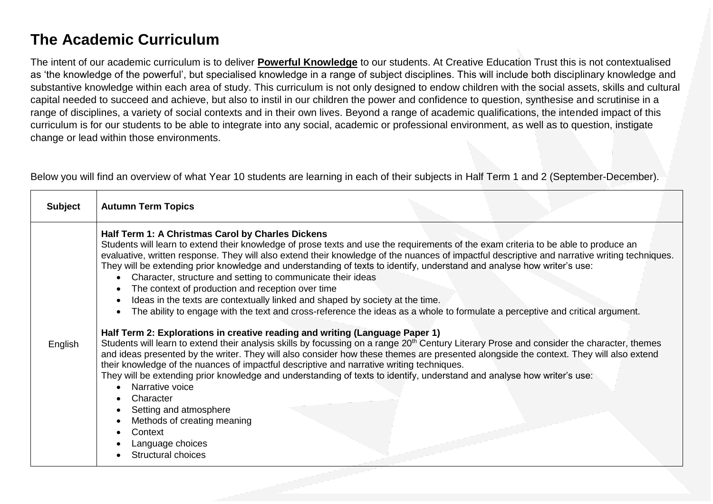# **The Academic Curriculum**

The intent of our academic curriculum is to deliver **Powerful Knowledge** to our students. At Creative Education Trust this is not contextualised as 'the knowledge of the powerful', but specialised knowledge in a range of subject disciplines. This will include both disciplinary knowledge and substantive knowledge within each area of study. This curriculum is not only designed to endow children with the social assets, skills and cultural capital needed to succeed and achieve, but also to instil in our children the power and confidence to question, synthesise and scrutinise in a range of disciplines, a variety of social contexts and in their own lives. Beyond a range of academic qualifications, the intended impact of this curriculum is for our students to be able to integrate into any social, academic or professional environment, as well as to question, instigate change or lead within those environments.

Below you will find an overview of what Year 10 students are learning in each of their subjects in Half Term 1 and 2 (September-December).

| <b>Subject</b> | <b>Autumn Term Topics</b>                                                                                                                                                                                                                                                                                                                                                                                                                                                                                                                                                                                                                                                                                                                                                                                                                                                                                                                                                                                                                                                                                                                                                                                                                                                                                                                                                                                                                                                                                                                                                   |
|----------------|-----------------------------------------------------------------------------------------------------------------------------------------------------------------------------------------------------------------------------------------------------------------------------------------------------------------------------------------------------------------------------------------------------------------------------------------------------------------------------------------------------------------------------------------------------------------------------------------------------------------------------------------------------------------------------------------------------------------------------------------------------------------------------------------------------------------------------------------------------------------------------------------------------------------------------------------------------------------------------------------------------------------------------------------------------------------------------------------------------------------------------------------------------------------------------------------------------------------------------------------------------------------------------------------------------------------------------------------------------------------------------------------------------------------------------------------------------------------------------------------------------------------------------------------------------------------------------|
| English        | Half Term 1: A Christmas Carol by Charles Dickens<br>Students will learn to extend their knowledge of prose texts and use the requirements of the exam criteria to be able to produce an<br>evaluative, written response. They will also extend their knowledge of the nuances of impactful descriptive and narrative writing techniques.<br>They will be extending prior knowledge and understanding of texts to identify, understand and analyse how writer's use:<br>Character, structure and setting to communicate their ideas<br>The context of production and reception over time<br>Ideas in the texts are contextually linked and shaped by society at the time.<br>The ability to engage with the text and cross-reference the ideas as a whole to formulate a perceptive and critical argument.<br>Half Term 2: Explorations in creative reading and writing (Language Paper 1)<br>Students will learn to extend their analysis skills by focussing on a range 20 <sup>th</sup> Century Literary Prose and consider the character, themes<br>and ideas presented by the writer. They will also consider how these themes are presented alongside the context. They will also extend<br>their knowledge of the nuances of impactful descriptive and narrative writing techniques.<br>They will be extending prior knowledge and understanding of texts to identify, understand and analyse how writer's use:<br>Narrative voice<br>Character<br>Setting and atmosphere<br>Methods of creating meaning<br>Context<br>Language choices<br><b>Structural choices</b> |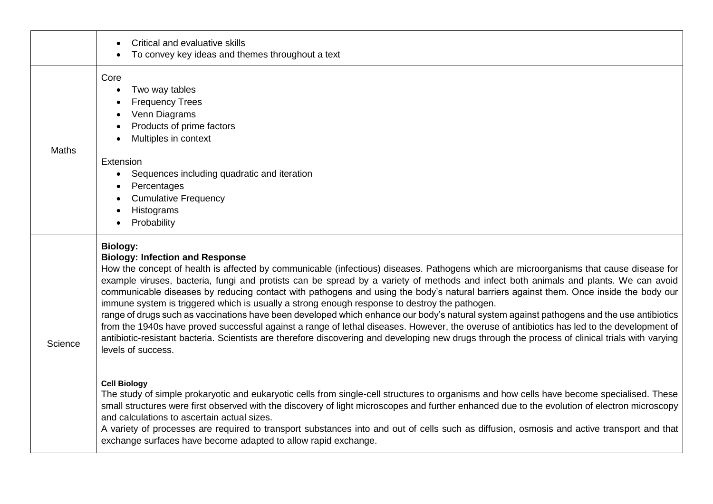|         | Critical and evaluative skills<br>To convey key ideas and themes throughout a text                                                                                                                                                                                                                                                                                                                                                                                                                                                                                                                                                                                                                                                                                                                                                                                                                                                                                                                                                                          |
|---------|-------------------------------------------------------------------------------------------------------------------------------------------------------------------------------------------------------------------------------------------------------------------------------------------------------------------------------------------------------------------------------------------------------------------------------------------------------------------------------------------------------------------------------------------------------------------------------------------------------------------------------------------------------------------------------------------------------------------------------------------------------------------------------------------------------------------------------------------------------------------------------------------------------------------------------------------------------------------------------------------------------------------------------------------------------------|
| Maths   | Core<br>Two way tables<br><b>Frequency Trees</b><br>Venn Diagrams<br>Products of prime factors<br>Multiples in context                                                                                                                                                                                                                                                                                                                                                                                                                                                                                                                                                                                                                                                                                                                                                                                                                                                                                                                                      |
|         | Extension<br>Sequences including quadratic and iteration<br>Percentages<br><b>Cumulative Frequency</b><br>Histograms<br>Probability                                                                                                                                                                                                                                                                                                                                                                                                                                                                                                                                                                                                                                                                                                                                                                                                                                                                                                                         |
| Science | <b>Biology:</b><br><b>Biology: Infection and Response</b><br>How the concept of health is affected by communicable (infectious) diseases. Pathogens which are microorganisms that cause disease for<br>example viruses, bacteria, fungi and protists can be spread by a variety of methods and infect both animals and plants. We can avoid<br>communicable diseases by reducing contact with pathogens and using the body's natural barriers against them. Once inside the body our<br>immune system is triggered which is usually a strong enough response to destroy the pathogen.<br>range of drugs such as vaccinations have been developed which enhance our body's natural system against pathogens and the use antibiotics<br>from the 1940s have proved successful against a range of lethal diseases. However, the overuse of antibiotics has led to the development of<br>antibiotic-resistant bacteria. Scientists are therefore discovering and developing new drugs through the process of clinical trials with varying<br>levels of success. |
|         | <b>Cell Biology</b><br>The study of simple prokaryotic and eukaryotic cells from single-cell structures to organisms and how cells have become specialised. These<br>small structures were first observed with the discovery of light microscopes and further enhanced due to the evolution of electron microscopy<br>and calculations to ascertain actual sizes.<br>A variety of processes are required to transport substances into and out of cells such as diffusion, osmosis and active transport and that<br>exchange surfaces have become adapted to allow rapid exchange.                                                                                                                                                                                                                                                                                                                                                                                                                                                                           |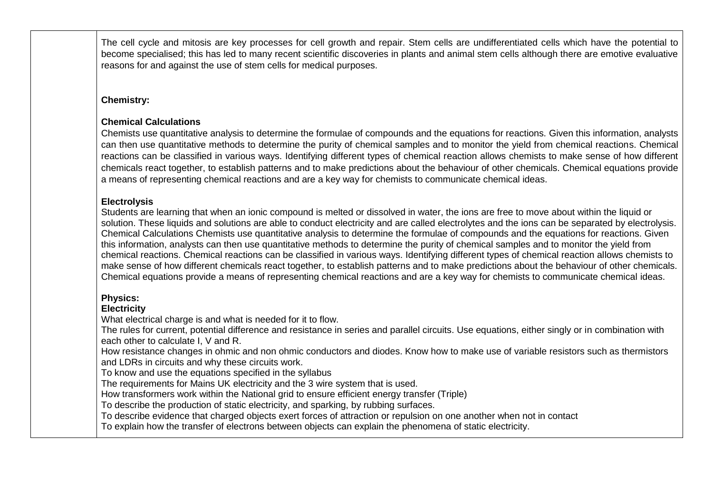The cell cycle and mitosis are key processes for cell growth and repair. Stem cells are undifferentiated cells which have the potential to become specialised; this has led to many recent scientific discoveries in plants and animal stem cells although there are emotive evaluative reasons for and against the use of stem cells for medical purposes.

# **Chemistry:**

# **Chemical Calculations**

Chemists use quantitative analysis to determine the formulae of compounds and the equations for reactions. Given this information, analysts can then use quantitative methods to determine the purity of chemical samples and to monitor the yield from chemical reactions. Chemical reactions can be classified in various ways. Identifying different types of chemical reaction allows chemists to make sense of how different chemicals react together, to establish patterns and to make predictions about the behaviour of other chemicals. Chemical equations provide a means of representing chemical reactions and are a key way for chemists to communicate chemical ideas.

## **Electrolysis**

Students are learning that when an ionic compound is melted or dissolved in water, the ions are free to move about within the liquid or solution. These liquids and solutions are able to conduct electricity and are called electrolytes and the ions can be separated by electrolysis. Chemical Calculations Chemists use quantitative analysis to determine the formulae of compounds and the equations for reactions. Given this information, analysts can then use quantitative methods to determine the purity of chemical samples and to monitor the yield from chemical reactions. Chemical reactions can be classified in various ways. Identifying different types of chemical reaction allows chemists to make sense of how different chemicals react together, to establish patterns and to make predictions about the behaviour of other chemicals. Chemical equations provide a means of representing chemical reactions and are a key way for chemists to communicate chemical ideas.

# **Physics:**

## **Electricity**

What electrical charge is and what is needed for it to flow.

The rules for current, potential difference and resistance in series and parallel circuits. Use equations, either singly or in combination with each other to calculate I, V and R.

How resistance changes in ohmic and non ohmic conductors and diodes. Know how to make use of variable resistors such as thermistors and LDRs in circuits and why these circuits work.

To know and use the equations specified in the syllabus

The requirements for Mains UK electricity and the 3 wire system that is used.

How transformers work within the National grid to ensure efficient energy transfer (Triple)

To describe the production of static electricity, and sparking, by rubbing surfaces.

To describe evidence that charged objects exert forces of attraction or repulsion on one another when not in contact

To explain how the transfer of electrons between objects can explain the phenomena of static electricity.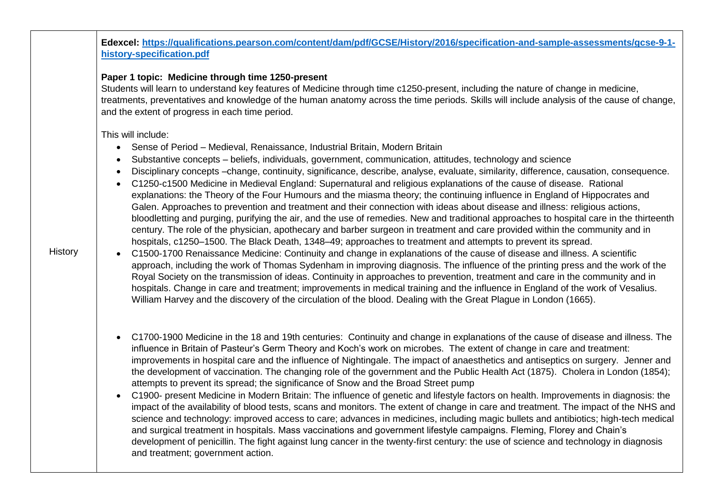**Edexcel: [https://qualifications.pearson.com/content/dam/pdf/GCSE/History/2016/specification-and-sample-assessments/gcse-9-1](https://qualifications.pearson.com/content/dam/pdf/GCSE/History/2016/specification-and-sample-assessments/gcse-9-1-history-specification.pdf) [history-specification.pdf](https://qualifications.pearson.com/content/dam/pdf/GCSE/History/2016/specification-and-sample-assessments/gcse-9-1-history-specification.pdf)**

#### **Paper 1 topic: Medicine through time 1250-present**

Students will learn to understand key features of Medicine through time c1250-present, including the nature of change in medicine, treatments, preventatives and knowledge of the human anatomy across the time periods. Skills will include analysis of the cause of change, and the extent of progress in each time period.

### This will include:

- Sense of Period Medieval, Renaissance, Industrial Britain, Modern Britain
- Substantive concepts beliefs, individuals, government, communication, attitudes, technology and science
- Disciplinary concepts –change, continuity, significance, describe, analyse, evaluate, similarity, difference, causation, consequence.
- C1250-c1500 Medicine in Medieval England: Supernatural and religious explanations of the cause of disease. Rational explanations: the Theory of the Four Humours and the miasma theory; the continuing influence in England of Hippocrates and Galen. Approaches to prevention and treatment and their connection with ideas about disease and illness: religious actions, bloodletting and purging, purifying the air, and the use of remedies. New and traditional approaches to hospital care in the thirteenth century. The role of the physician, apothecary and barber surgeon in treatment and care provided within the community and in hospitals, c1250–1500. The Black Death, 1348–49; approaches to treatment and attempts to prevent its spread.
- C1500-1700 Renaissance Medicine: Continuity and change in explanations of the cause of disease and illness. A scientific approach, including the work of Thomas Sydenham in improving diagnosis. The influence of the printing press and the work of the Royal Society on the transmission of ideas. Continuity in approaches to prevention, treatment and care in the community and in hospitals. Change in care and treatment; improvements in medical training and the influence in England of the work of Vesalius. William Harvey and the discovery of the circulation of the blood. Dealing with the Great Plague in London (1665).
- C1700-1900 Medicine in the 18 and 19th centuries: Continuity and change in explanations of the cause of disease and illness. The influence in Britain of Pasteur's Germ Theory and Koch's work on microbes. The extent of change in care and treatment: improvements in hospital care and the influence of Nightingale. The impact of anaesthetics and antiseptics on surgery. Jenner and the development of vaccination. The changing role of the government and the Public Health Act (1875). Cholera in London (1854); attempts to prevent its spread; the significance of Snow and the Broad Street pump
- C1900- present Medicine in Modern Britain: The influence of genetic and lifestyle factors on health. Improvements in diagnosis: the impact of the availability of blood tests, scans and monitors. The extent of change in care and treatment. The impact of the NHS and science and technology: improved access to care; advances in medicines, including magic bullets and antibiotics; high-tech medical and surgical treatment in hospitals. Mass vaccinations and government lifestyle campaigns. Fleming, Florey and Chain's development of penicillin. The fight against lung cancer in the twenty-first century: the use of science and technology in diagnosis and treatment; government action.

**History**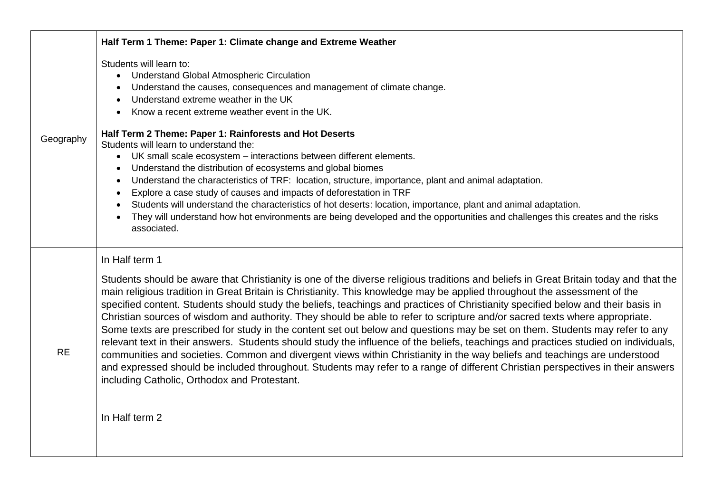|           | Half Term 1 Theme: Paper 1: Climate change and Extreme Weather                                                                                                                                                                                                                                                                                                                                                                                                                                                                                                                                                                                                                                                                                                                                                                                                                                                                                                                                                                                                                                                                                                   |
|-----------|------------------------------------------------------------------------------------------------------------------------------------------------------------------------------------------------------------------------------------------------------------------------------------------------------------------------------------------------------------------------------------------------------------------------------------------------------------------------------------------------------------------------------------------------------------------------------------------------------------------------------------------------------------------------------------------------------------------------------------------------------------------------------------------------------------------------------------------------------------------------------------------------------------------------------------------------------------------------------------------------------------------------------------------------------------------------------------------------------------------------------------------------------------------|
| Geography | Students will learn to:<br>• Understand Global Atmospheric Circulation<br>Understand the causes, consequences and management of climate change.<br>Understand extreme weather in the UK<br>Know a recent extreme weather event in the UK.                                                                                                                                                                                                                                                                                                                                                                                                                                                                                                                                                                                                                                                                                                                                                                                                                                                                                                                        |
|           | Half Term 2 Theme: Paper 1: Rainforests and Hot Deserts<br>Students will learn to understand the:<br>UK small scale ecosystem - interactions between different elements.<br>$\bullet$<br>Understand the distribution of ecosystems and global biomes<br>Understand the characteristics of TRF: location, structure, importance, plant and animal adaptation.<br>Explore a case study of causes and impacts of deforestation in TRF<br>Students will understand the characteristics of hot deserts: location, importance, plant and animal adaptation.<br>They will understand how hot environments are being developed and the opportunities and challenges this creates and the risks<br>associated.                                                                                                                                                                                                                                                                                                                                                                                                                                                            |
| <b>RE</b> | In Half term 1<br>Students should be aware that Christianity is one of the diverse religious traditions and beliefs in Great Britain today and that the<br>main religious tradition in Great Britain is Christianity. This knowledge may be applied throughout the assessment of the<br>specified content. Students should study the beliefs, teachings and practices of Christianity specified below and their basis in<br>Christian sources of wisdom and authority. They should be able to refer to scripture and/or sacred texts where appropriate.<br>Some texts are prescribed for study in the content set out below and questions may be set on them. Students may refer to any<br>relevant text in their answers. Students should study the influence of the beliefs, teachings and practices studied on individuals,<br>communities and societies. Common and divergent views within Christianity in the way beliefs and teachings are understood<br>and expressed should be included throughout. Students may refer to a range of different Christian perspectives in their answers<br>including Catholic, Orthodox and Protestant.<br>In Half term 2 |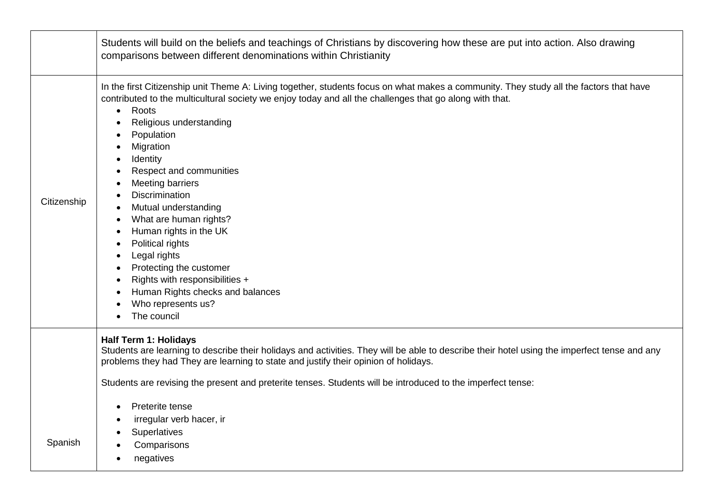|             | Students will build on the beliefs and teachings of Christians by discovering how these are put into action. Also drawing<br>comparisons between different denominations within Christianity                                                                                                                                                                                                                                                                                                                                                                                                                                                                                                                                                          |
|-------------|-------------------------------------------------------------------------------------------------------------------------------------------------------------------------------------------------------------------------------------------------------------------------------------------------------------------------------------------------------------------------------------------------------------------------------------------------------------------------------------------------------------------------------------------------------------------------------------------------------------------------------------------------------------------------------------------------------------------------------------------------------|
| Citizenship | In the first Citizenship unit Theme A: Living together, students focus on what makes a community. They study all the factors that have<br>contributed to the multicultural society we enjoy today and all the challenges that go along with that.<br>Roots<br>$\bullet$<br>Religious understanding<br>$\bullet$<br>Population<br>Migration<br>Identity<br>Respect and communities<br>Meeting barriers<br><b>Discrimination</b><br>Mutual understanding<br>$\bullet$<br>What are human rights?<br>$\bullet$<br>Human rights in the UK<br>Political rights<br>Legal rights<br>$\bullet$<br>Protecting the customer<br>$\bullet$<br>Rights with responsibilities +<br>$\bullet$<br>Human Rights checks and balances<br>Who represents us?<br>The council |
|             | <b>Half Term 1: Holidays</b><br>Students are learning to describe their holidays and activities. They will be able to describe their hotel using the imperfect tense and any<br>problems they had They are learning to state and justify their opinion of holidays.                                                                                                                                                                                                                                                                                                                                                                                                                                                                                   |
|             | Students are revising the present and preterite tenses. Students will be introduced to the imperfect tense:                                                                                                                                                                                                                                                                                                                                                                                                                                                                                                                                                                                                                                           |
|             | Preterite tense<br>$\bullet$<br>irregular verb hacer, ir                                                                                                                                                                                                                                                                                                                                                                                                                                                                                                                                                                                                                                                                                              |
|             | Superlatives                                                                                                                                                                                                                                                                                                                                                                                                                                                                                                                                                                                                                                                                                                                                          |
| Spanish     | Comparisons                                                                                                                                                                                                                                                                                                                                                                                                                                                                                                                                                                                                                                                                                                                                           |
|             | negatives<br>$\bullet$                                                                                                                                                                                                                                                                                                                                                                                                                                                                                                                                                                                                                                                                                                                                |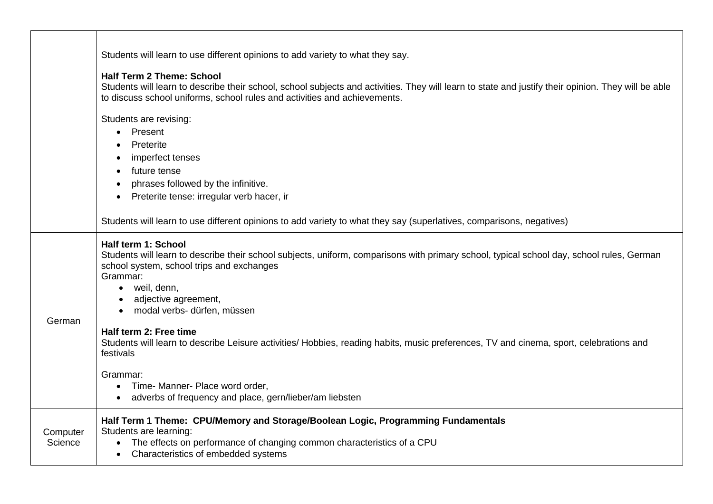|                     | Students will learn to use different opinions to add variety to what they say.                                                                                                                                                                                                                                                                                                                                                                                                                                                                                                                            |
|---------------------|-----------------------------------------------------------------------------------------------------------------------------------------------------------------------------------------------------------------------------------------------------------------------------------------------------------------------------------------------------------------------------------------------------------------------------------------------------------------------------------------------------------------------------------------------------------------------------------------------------------|
|                     | <b>Half Term 2 Theme: School</b><br>Students will learn to describe their school, school subjects and activities. They will learn to state and justify their opinion. They will be able<br>to discuss school uniforms, school rules and activities and achievements.                                                                                                                                                                                                                                                                                                                                      |
|                     | Students are revising:<br>Present<br>$\bullet$<br>Preterite<br>imperfect tenses<br>future tense<br>phrases followed by the infinitive.<br>Preterite tense: irregular verb hacer, ir                                                                                                                                                                                                                                                                                                                                                                                                                       |
| German              | Students will learn to use different opinions to add variety to what they say (superlatives, comparisons, negatives)<br>Half term 1: School<br>Students will learn to describe their school subjects, uniform, comparisons with primary school, typical school day, school rules, German<br>school system, school trips and exchanges<br>Grammar:<br>• weil, denn,<br>adjective agreement,<br>modal verbs- dürfen, müssen<br>$\bullet$<br>Half term 2: Free time<br>Students will learn to describe Leisure activities/Hobbies, reading habits, music preferences, TV and cinema, sport, celebrations and |
|                     | festivals<br>Grammar:<br>• Time- Manner- Place word order,<br>adverbs of frequency and place, gern/lieber/am liebsten                                                                                                                                                                                                                                                                                                                                                                                                                                                                                     |
| Computer<br>Science | Half Term 1 Theme: CPU/Memory and Storage/Boolean Logic, Programming Fundamentals<br>Students are learning:<br>The effects on performance of changing common characteristics of a CPU<br>Characteristics of embedded systems                                                                                                                                                                                                                                                                                                                                                                              |

 $\mathbf{I}$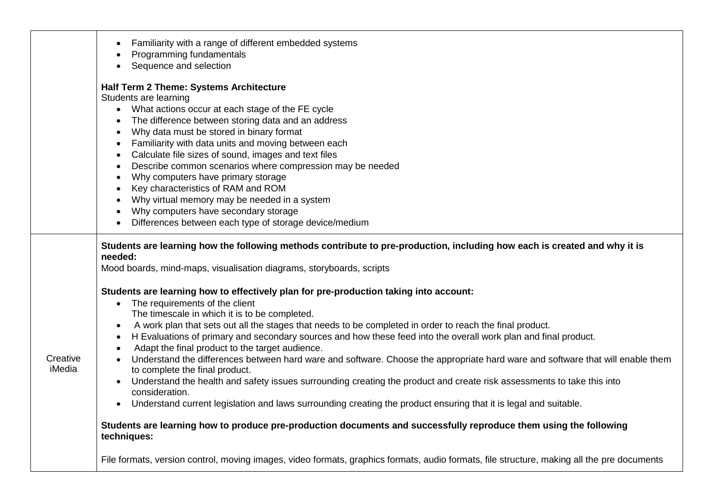|                    | Familiarity with a range of different embedded systems<br>$\bullet$<br>Programming fundamentals<br>Sequence and selection                                                                                                                                                                                                                                                                                                                                                                                                                                                                                                                                                                                                                                                                                                                                                                                                                                                                                                                                                                                                                                                                                                                                                                 |
|--------------------|-------------------------------------------------------------------------------------------------------------------------------------------------------------------------------------------------------------------------------------------------------------------------------------------------------------------------------------------------------------------------------------------------------------------------------------------------------------------------------------------------------------------------------------------------------------------------------------------------------------------------------------------------------------------------------------------------------------------------------------------------------------------------------------------------------------------------------------------------------------------------------------------------------------------------------------------------------------------------------------------------------------------------------------------------------------------------------------------------------------------------------------------------------------------------------------------------------------------------------------------------------------------------------------------|
|                    | Half Term 2 Theme: Systems Architecture<br>Students are learning<br>What actions occur at each stage of the FE cycle<br>$\bullet$<br>The difference between storing data and an address<br>Why data must be stored in binary format<br>$\bullet$<br>Familiarity with data units and moving between each<br>Calculate file sizes of sound, images and text files<br>Describe common scenarios where compression may be needed<br>Why computers have primary storage<br>Key characteristics of RAM and ROM<br>$\bullet$<br>Why virtual memory may be needed in a system<br>Why computers have secondary storage<br>Differences between each type of storage device/medium<br>$\bullet$                                                                                                                                                                                                                                                                                                                                                                                                                                                                                                                                                                                                      |
| Creative<br>iMedia | Students are learning how the following methods contribute to pre-production, including how each is created and why it is<br>needed:<br>Mood boards, mind-maps, visualisation diagrams, storyboards, scripts<br>Students are learning how to effectively plan for pre-production taking into account:<br>The requirements of the client<br>$\bullet$<br>The timescale in which it is to be completed.<br>A work plan that sets out all the stages that needs to be completed in order to reach the final product.<br>$\bullet$<br>H Evaluations of primary and secondary sources and how these feed into the overall work plan and final product.<br>Adapt the final product to the target audience.<br>Understand the differences between hard ware and software. Choose the appropriate hard ware and software that will enable them<br>to complete the final product.<br>Understand the health and safety issues surrounding creating the product and create risk assessments to take this into<br>consideration.<br>Understand current legislation and laws surrounding creating the product ensuring that it is legal and suitable.<br>$\bullet$<br>Students are learning how to produce pre-production documents and successfully reproduce them using the following<br>techniques: |
|                    | File formats, version control, moving images, video formats, graphics formats, audio formats, file structure, making all the pre documents                                                                                                                                                                                                                                                                                                                                                                                                                                                                                                                                                                                                                                                                                                                                                                                                                                                                                                                                                                                                                                                                                                                                                |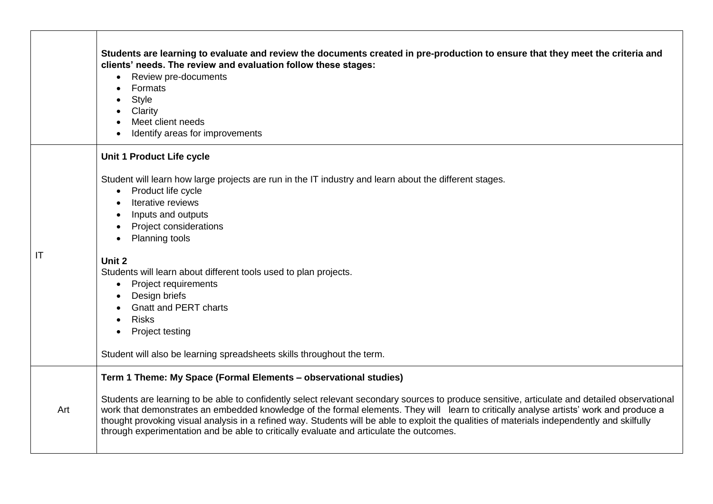|     | Students are learning to evaluate and review the documents created in pre-production to ensure that they meet the criteria and<br>clients' needs. The review and evaluation follow these stages:<br>Review pre-documents<br>Formats<br><b>Style</b><br>Clarity<br>Meet client needs<br>Identify areas for improvements                                                                                                                                                                                                                                                                                |
|-----|-------------------------------------------------------------------------------------------------------------------------------------------------------------------------------------------------------------------------------------------------------------------------------------------------------------------------------------------------------------------------------------------------------------------------------------------------------------------------------------------------------------------------------------------------------------------------------------------------------|
|     | Unit 1 Product Life cycle                                                                                                                                                                                                                                                                                                                                                                                                                                                                                                                                                                             |
|     | Student will learn how large projects are run in the IT industry and learn about the different stages.<br>Product life cycle<br>$\bullet$<br>Iterative reviews<br>$\bullet$<br>Inputs and outputs<br>$\bullet$<br>Project considerations<br>Planning tools                                                                                                                                                                                                                                                                                                                                            |
| IT  | Unit 2<br>Students will learn about different tools used to plan projects.<br><b>Project requirements</b><br>Design briefs<br><b>Gnatt and PERT charts</b><br><b>Risks</b><br>$\bullet$<br>Project testing<br>$\bullet$<br>Student will also be learning spreadsheets skills throughout the term.                                                                                                                                                                                                                                                                                                     |
| Art | Term 1 Theme: My Space (Formal Elements - observational studies)<br>Students are learning to be able to confidently select relevant secondary sources to produce sensitive, articulate and detailed observational<br>work that demonstrates an embedded knowledge of the formal elements. They will learn to critically analyse artists' work and produce a<br>thought provoking visual analysis in a refined way. Students will be able to exploit the qualities of materials independently and skilfully<br>through experimentation and be able to critically evaluate and articulate the outcomes. |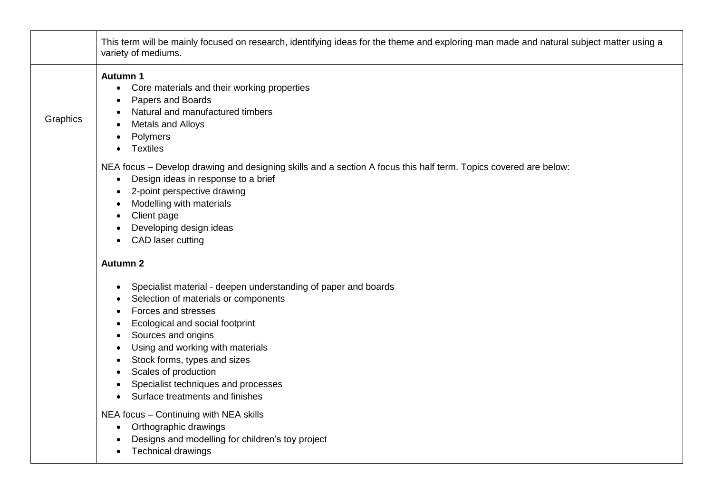|          | This term will be mainly focused on research, identifying ideas for the theme and exploring man made and natural subject matter using a<br>variety of mediums.                                                                                                                                                                                                |
|----------|---------------------------------------------------------------------------------------------------------------------------------------------------------------------------------------------------------------------------------------------------------------------------------------------------------------------------------------------------------------|
| Graphics | <b>Autumn 1</b><br>Core materials and their working properties<br>$\bullet$<br>Papers and Boards<br>Natural and manufactured timbers<br>Metals and Alloys<br>Polymers<br><b>Textiles</b>                                                                                                                                                                      |
|          | NEA focus - Develop drawing and designing skills and a section A focus this half term. Topics covered are below:<br>Design ideas in response to a brief<br>$\bullet$<br>2-point perspective drawing<br>Modelling with materials<br>Client page<br>Developing design ideas<br>CAD laser cutting                                                                |
|          | <b>Autumn 2</b>                                                                                                                                                                                                                                                                                                                                               |
|          | Specialist material - deepen understanding of paper and boards<br>Selection of materials or components<br>Forces and stresses<br>Ecological and social footprint<br>Sources and origins<br>Using and working with materials<br>Stock forms, types and sizes<br>Scales of production<br>Specialist techniques and processes<br>Surface treatments and finishes |
|          | NEA focus - Continuing with NEA skills<br>Orthographic drawings<br>$\bullet$<br>Designs and modelling for children's toy project<br><b>Technical drawings</b>                                                                                                                                                                                                 |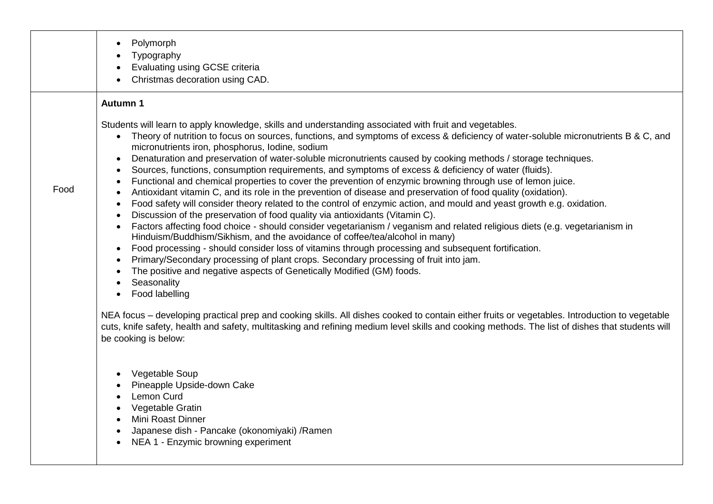|      | Polymorph<br>$\bullet$<br>Typography<br>$\bullet$<br>Evaluating using GCSE criteria<br>$\bullet$<br>Christmas decoration using CAD.                                                                                                                                                                                                                                                                                                                                                                                                                                                                                                                                                                                                                                                                                                                                                                                                                                                                                                                                                                                                                                                                                                                                                                                                                                                                                                                                                                                                                                                                                                                  |
|------|------------------------------------------------------------------------------------------------------------------------------------------------------------------------------------------------------------------------------------------------------------------------------------------------------------------------------------------------------------------------------------------------------------------------------------------------------------------------------------------------------------------------------------------------------------------------------------------------------------------------------------------------------------------------------------------------------------------------------------------------------------------------------------------------------------------------------------------------------------------------------------------------------------------------------------------------------------------------------------------------------------------------------------------------------------------------------------------------------------------------------------------------------------------------------------------------------------------------------------------------------------------------------------------------------------------------------------------------------------------------------------------------------------------------------------------------------------------------------------------------------------------------------------------------------------------------------------------------------------------------------------------------------|
|      | <b>Autumn 1</b>                                                                                                                                                                                                                                                                                                                                                                                                                                                                                                                                                                                                                                                                                                                                                                                                                                                                                                                                                                                                                                                                                                                                                                                                                                                                                                                                                                                                                                                                                                                                                                                                                                      |
| Food | Students will learn to apply knowledge, skills and understanding associated with fruit and vegetables.<br>Theory of nutrition to focus on sources, functions, and symptoms of excess & deficiency of water-soluble micronutrients B & C, and<br>$\bullet$<br>micronutrients iron, phosphorus, lodine, sodium<br>Denaturation and preservation of water-soluble micronutrients caused by cooking methods / storage techniques.<br>$\bullet$<br>Sources, functions, consumption requirements, and symptoms of excess & deficiency of water (fluids).<br>$\bullet$<br>Functional and chemical properties to cover the prevention of enzymic browning through use of lemon juice.<br>$\bullet$<br>Antioxidant vitamin C, and its role in the prevention of disease and preservation of food quality (oxidation).<br>$\bullet$<br>Food safety will consider theory related to the control of enzymic action, and mould and yeast growth e.g. oxidation.<br>$\bullet$<br>Discussion of the preservation of food quality via antioxidants (Vitamin C).<br>$\bullet$<br>Factors affecting food choice - should consider vegetarianism / veganism and related religious diets (e.g. vegetarianism in<br>$\bullet$<br>Hinduism/Buddhism/Sikhism, and the avoidance of coffee/tea/alcohol in many)<br>Food processing - should consider loss of vitamins through processing and subsequent fortification.<br>$\bullet$<br>Primary/Secondary processing of plant crops. Secondary processing of fruit into jam.<br>$\bullet$<br>The positive and negative aspects of Genetically Modified (GM) foods.<br>$\bullet$<br>Seasonality<br>Food labelling<br>$\bullet$ |
|      | NEA focus - developing practical prep and cooking skills. All dishes cooked to contain either fruits or vegetables. Introduction to vegetable<br>cuts, knife safety, health and safety, multitasking and refining medium level skills and cooking methods. The list of dishes that students will<br>be cooking is below:                                                                                                                                                                                                                                                                                                                                                                                                                                                                                                                                                                                                                                                                                                                                                                                                                                                                                                                                                                                                                                                                                                                                                                                                                                                                                                                             |
|      | Vegetable Soup<br>$\bullet$<br>Pineapple Upside-down Cake<br>Lemon Curd<br>$\bullet$<br>Vegetable Gratin<br>$\bullet$<br>Mini Roast Dinner<br>$\bullet$<br>Japanese dish - Pancake (okonomiyaki) / Ramen<br>$\bullet$<br>NEA 1 - Enzymic browning experiment<br>$\bullet$                                                                                                                                                                                                                                                                                                                                                                                                                                                                                                                                                                                                                                                                                                                                                                                                                                                                                                                                                                                                                                                                                                                                                                                                                                                                                                                                                                            |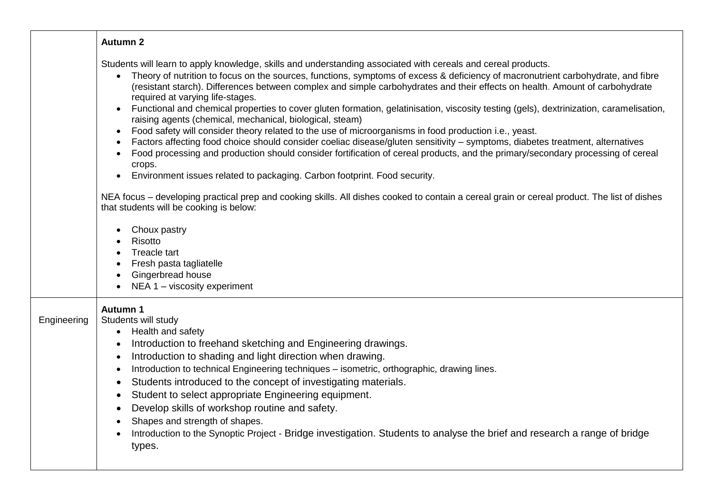|             | <b>Autumn 2</b>                                                                                                                                                                                                                                                                                                                                                                                                                                                                                                                                                                                                                                                                                                                                                                                                                                                                                                                                                                                                                                                                                                                                                                                                                                                             |
|-------------|-----------------------------------------------------------------------------------------------------------------------------------------------------------------------------------------------------------------------------------------------------------------------------------------------------------------------------------------------------------------------------------------------------------------------------------------------------------------------------------------------------------------------------------------------------------------------------------------------------------------------------------------------------------------------------------------------------------------------------------------------------------------------------------------------------------------------------------------------------------------------------------------------------------------------------------------------------------------------------------------------------------------------------------------------------------------------------------------------------------------------------------------------------------------------------------------------------------------------------------------------------------------------------|
|             | Students will learn to apply knowledge, skills and understanding associated with cereals and cereal products.<br>• Theory of nutrition to focus on the sources, functions, symptoms of excess & deficiency of macronutrient carbohydrate, and fibre<br>(resistant starch). Differences between complex and simple carbohydrates and their effects on health. Amount of carbohydrate<br>required at varying life-stages.<br>Functional and chemical properties to cover gluten formation, gelatinisation, viscosity testing (gels), dextrinization, caramelisation,<br>$\bullet$<br>raising agents (chemical, mechanical, biological, steam)<br>Food safety will consider theory related to the use of microorganisms in food production i.e., yeast.<br>$\bullet$<br>Factors affecting food choice should consider coeliac disease/gluten sensitivity - symptoms, diabetes treatment, alternatives<br>Food processing and production should consider fortification of cereal products, and the primary/secondary processing of cereal<br>crops.<br>Environment issues related to packaging. Carbon footprint. Food security.<br>NEA focus – developing practical prep and cooking skills. All dishes cooked to contain a cereal grain or cereal product. The list of dishes |
|             | that students will be cooking is below:<br>Choux pastry<br>Risotto<br>Treacle tart<br>Fresh pasta tagliatelle<br>$\bullet$<br>Gingerbread house<br>$\bullet$<br>NEA 1 - viscosity experiment                                                                                                                                                                                                                                                                                                                                                                                                                                                                                                                                                                                                                                                                                                                                                                                                                                                                                                                                                                                                                                                                                |
| Engineering | Autumn 1<br>Students will study<br>Health and safety<br>$\bullet$<br>Introduction to freehand sketching and Engineering drawings.<br>$\bullet$<br>Introduction to shading and light direction when drawing.<br>$\bullet$<br>Introduction to technical Engineering techniques - isometric, orthographic, drawing lines.<br>$\bullet$<br>Students introduced to the concept of investigating materials.<br>$\bullet$<br>Student to select appropriate Engineering equipment.<br>$\bullet$<br>Develop skills of workshop routine and safety.<br>$\bullet$<br>Shapes and strength of shapes.<br>Introduction to the Synoptic Project - Bridge investigation. Students to analyse the brief and research a range of bridge<br>types.                                                                                                                                                                                                                                                                                                                                                                                                                                                                                                                                             |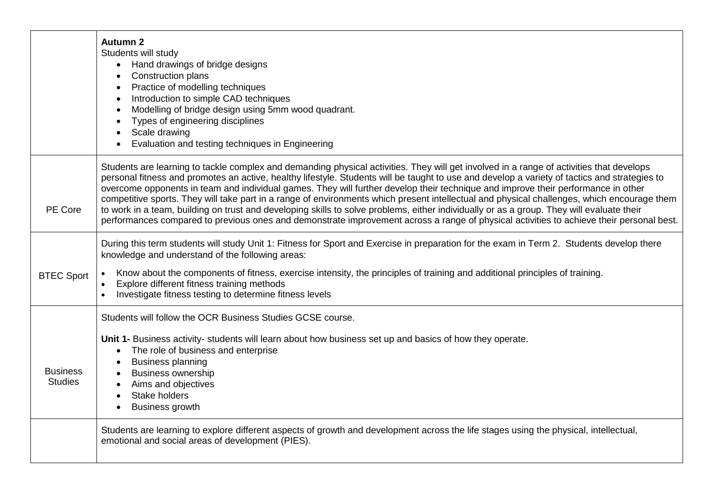|                                   | <b>Autumn 2</b><br>Students will study<br>• Hand drawings of bridge designs<br>Construction plans<br>Practice of modelling techniques<br>Introduction to simple CAD techniques<br>Modelling of bridge design using 5mm wood quadrant.<br>Types of engineering disciplines<br>Scale drawing<br>Evaluation and testing techniques in Engineering                                                                                                                                                                                                                                                                                                                                                                                                                                                                                                                         |
|-----------------------------------|------------------------------------------------------------------------------------------------------------------------------------------------------------------------------------------------------------------------------------------------------------------------------------------------------------------------------------------------------------------------------------------------------------------------------------------------------------------------------------------------------------------------------------------------------------------------------------------------------------------------------------------------------------------------------------------------------------------------------------------------------------------------------------------------------------------------------------------------------------------------|
| PE Core                           | Students are learning to tackle complex and demanding physical activities. They will get involved in a range of activities that develops<br>personal fitness and promotes an active, healthy lifestyle. Students will be taught to use and develop a variety of tactics and strategies to<br>overcome opponents in team and individual games. They will further develop their technique and improve their performance in other<br>competitive sports. They will take part in a range of environments which present intellectual and physical challenges, which encourage them<br>to work in a team, building on trust and developing skills to solve problems, either individually or as a group. They will evaluate their<br>performances compared to previous ones and demonstrate improvement across a range of physical activities to achieve their personal best. |
| <b>BTEC Sport</b>                 | During this term students will study Unit 1: Fitness for Sport and Exercise in preparation for the exam in Term 2. Students develop there<br>knowledge and understand of the following areas:<br>Know about the components of fitness, exercise intensity, the principles of training and additional principles of training.<br>$\bullet$<br>Explore different fitness training methods<br>$\bullet$<br>Investigate fitness testing to determine fitness levels<br>$\bullet$                                                                                                                                                                                                                                                                                                                                                                                           |
| <b>Business</b><br><b>Studies</b> | Students will follow the OCR Business Studies GCSE course.<br>Unit 1- Business activity- students will learn about how business set up and basics of how they operate.<br>The role of business and enterprise<br><b>Business planning</b><br><b>Business ownership</b><br>Aims and objectives<br>Stake holders<br><b>Business growth</b>                                                                                                                                                                                                                                                                                                                                                                                                                                                                                                                               |
|                                   | Students are learning to explore different aspects of growth and development across the life stages using the physical, intellectual,<br>emotional and social areas of development (PIES).                                                                                                                                                                                                                                                                                                                                                                                                                                                                                                                                                                                                                                                                             |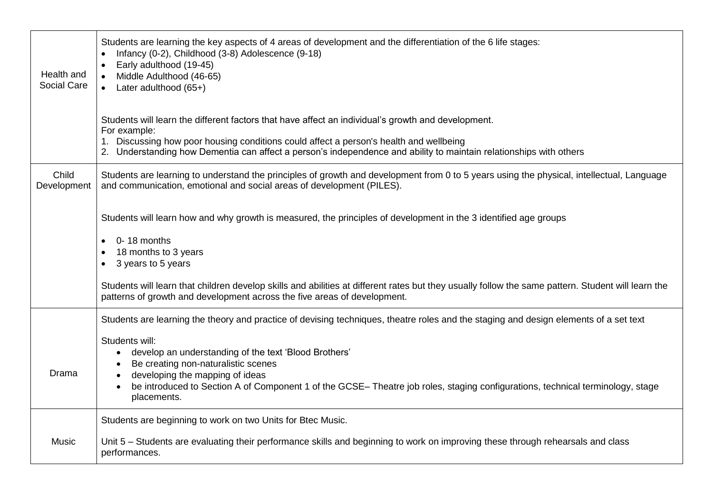| Health and<br>Social Care | Students are learning the key aspects of 4 areas of development and the differentiation of the 6 life stages:<br>Infancy (0-2), Childhood (3-8) Adolescence (9-18)<br>Early adulthood (19-45)<br>Middle Adulthood (46-65)<br>$\bullet$<br>• Later adulthood $(65+)$                                             |
|---------------------------|-----------------------------------------------------------------------------------------------------------------------------------------------------------------------------------------------------------------------------------------------------------------------------------------------------------------|
|                           | Students will learn the different factors that have affect an individual's growth and development.<br>For example:                                                                                                                                                                                              |
|                           | 1. Discussing how poor housing conditions could affect a person's health and wellbeing<br>2. Understanding how Dementia can affect a person's independence and ability to maintain relationships with others                                                                                                    |
| Child<br>Development      | Students are learning to understand the principles of growth and development from 0 to 5 years using the physical, intellectual, Language<br>and communication, emotional and social areas of development (PILES).                                                                                              |
|                           | Students will learn how and why growth is measured, the principles of development in the 3 identified age groups                                                                                                                                                                                                |
|                           | 0-18 months<br>18 months to 3 years<br>3 years to 5 years                                                                                                                                                                                                                                                       |
|                           | Students will learn that children develop skills and abilities at different rates but they usually follow the same pattern. Student will learn the<br>patterns of growth and development across the five areas of development.                                                                                  |
|                           | Students are learning the theory and practice of devising techniques, theatre roles and the staging and design elements of a set text                                                                                                                                                                           |
| Drama                     | Students will:<br>develop an understanding of the text 'Blood Brothers'<br>$\bullet$<br>Be creating non-naturalistic scenes<br>developing the mapping of ideas<br>be introduced to Section A of Component 1 of the GCSE- Theatre job roles, staging configurations, technical terminology, stage<br>placements. |
|                           | Students are beginning to work on two Units for Btec Music.                                                                                                                                                                                                                                                     |
| Music                     | Unit 5 – Students are evaluating their performance skills and beginning to work on improving these through rehearsals and class<br>performances.                                                                                                                                                                |